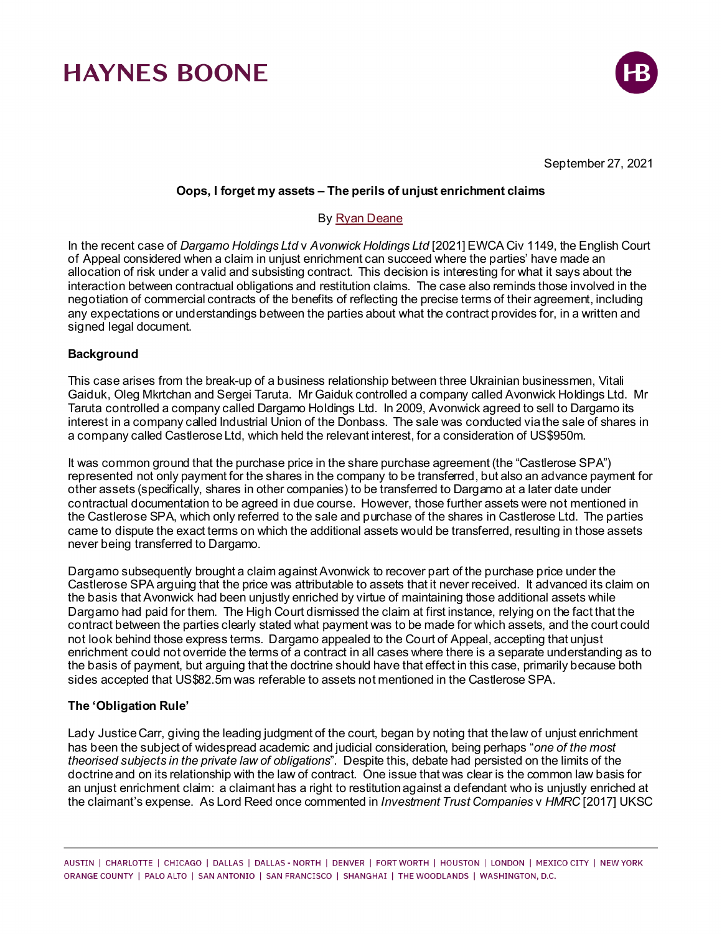

September 27, 2021

### **Oops, I forget my assets – The perils of unjust enrichment claims**

### By [Ryan Deane](https://www.haynesboone.com/people/deane-ryan)

In the recent case of *Dargamo Holdings Ltd* v *Avonwick Holdings Ltd* [2021] EWCA Civ 1149, the English Court of Appeal considered when a claim in unjust enrichment can succeed where the parties' have made an allocation of risk under a valid and subsisting contract. This decision is interesting for what it says about the interaction between contractual obligations and restitution claims. The case also reminds those involved in the negotiation of commercial contracts of the benefits of reflecting the precise terms of their agreement, including any expectations or understandings between the parties about what the contract provides for, in a written and signed legal document.

### **Background**

This case arises from the break-up of a business relationship between three Ukrainian businessmen, Vitali Gaiduk, Oleg Mkrtchan and Sergei Taruta. Mr Gaiduk controlled a company called Avonwick Holdings Ltd. Mr Taruta controlled a company called Dargamo Holdings Ltd. In 2009, Avonwick agreed to sell to Dargamo its interest in a company called Industrial Union of the Donbass. The sale was conducted via the sale of shares in a company called Castlerose Ltd, which held the relevant interest, for a consideration of US\$950m.

It was common ground that the purchase price in the share purchase agreement (the "Castlerose SPA") represented not only payment for the shares in the company to be transferred, but also an advance payment for other assets (specifically, shares in other companies) to be transferred to Dargamo at a later date under contractual documentation to be agreed in due course. However, those further assets were not mentioned in the Castlerose SPA, which only referred to the sale and purchase of the shares in Castlerose Ltd. The parties came to dispute the exact terms on which the additional assets would be transferred, resulting in those assets never being transferred to Dargamo.

Dargamo subsequently brought a claim against Avonwick to recover part of the purchase price under the Castlerose SPA arguing that the price was attributable to assets that it never received. It advanced its claim on the basis that Avonwick had been unjustly enriched by virtue of maintaining those additional assets while Dargamo had paid for them. The High Court dismissed the claim at first instance, relying on the fact that the contract between the parties clearly stated what payment was to be made for which assets, and the court could not look behind those express terms. Dargamo appealed to the Court of Appeal, accepting that unjust enrichment could not override the terms of a contract in all cases where there is a separate understanding as to the basis of payment, but arguing that the doctrine should have that effect in this case, primarily because both sides accepted that US\$82.5m was referable to assets not mentioned in the Castlerose SPA.

#### **The 'Obligation Rule'**

Lady Justice Carr, giving the leading judgment of the court, began by noting that the law of unjust enrichment has been the subject of widespread academic and judicial consideration, being perhaps "*one of the most theorised subjects in the private law of obligations*". Despite this, debate had persisted on the limits of the doctrine and on its relationship with the law of contract. One issue that was clear is the common law basis for an unjust enrichment claim: a claimant has a right to restitution against a defendant who is unjustly enriched at the claimant's expense. As Lord Reed once commented in *Investment Trust Companies* v *HMRC* [2017] UKSC

AUSTIN | CHARLOTTE | CHICAGO | DALLAS | DALLAS - NORTH | DENVER | FORT WORTH | HOUSTON | LONDON | MEXICO CITY | NEW YORK ORANGE COUNTY | PALO ALTO | SAN ANTONIO | SAN FRANCISCO | SHANGHAI | THE WOODLANDS | WASHINGTON, D.C.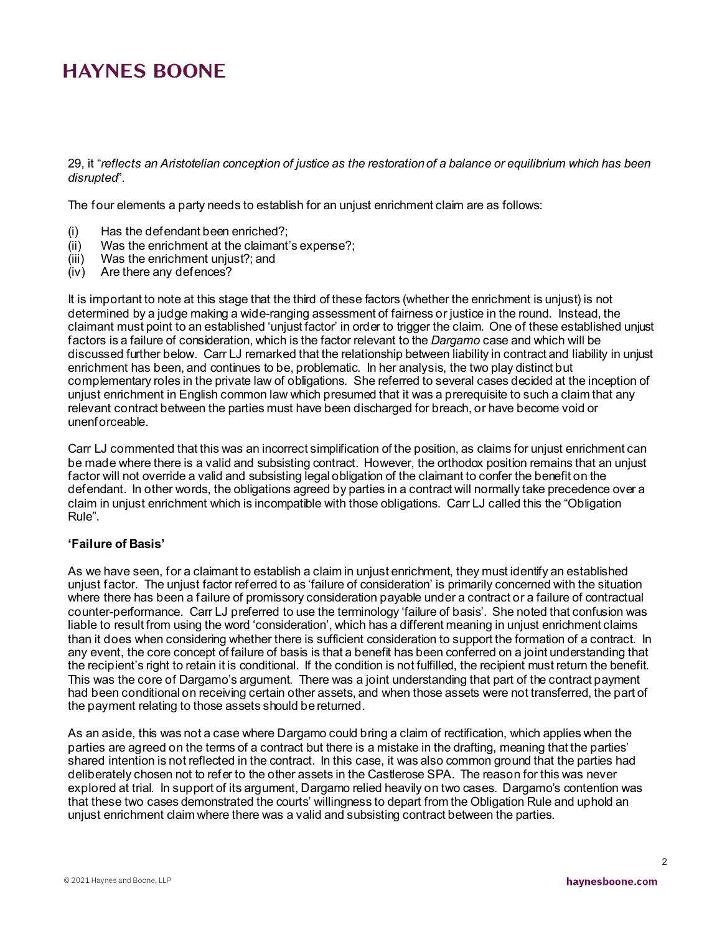29, it "*reflects an Aristotelian conception of justice as the restoration of a balance or equilibrium which has been disrupted*".

The four elements a party needs to establish for an unjust enrichment claim are as follows:

- (i) Has the defendant been enriched?;
- (ii) Was the enrichment at the claimant's expense?;
- (iii) Was the enrichment unjust?; and
- (iv) Are there any defences?

It is important to note at this stage that the third of these factors (whether the enrichment is unjust) is not determined by a judge making a wide-ranging assessment of fairness or justice in the round. Instead, the claimant must point to an established 'unjust factor' in order to trigger the claim. One of these established unjust factors is a failure of consideration, which is the factor relevant to the *Dargamo* case and which will be discussed further below. Carr LJ remarked that the relationship between liability in contract and liability in unjust enrichment has been, and continues to be, problematic. In her analysis, the two play distinct but complementary roles in the private law of obligations. She referred to several cases decided at the inception of unjust enrichment in English common law which presumed that it was a prerequisite to such a claim that any relevant contract between the parties must have been discharged for breach, or have become void or unenforceable.

Carr LJ commented that this was an incorrect simplification of the position, as claims for unjust enrichment can be made where there is a valid and subsisting contract. However, the orthodox position remains that an unjust factor will not override a valid and subsisting legal obligation of the claimant to confer the benefit on the defendant. In other words, the obligations agreed by parties in a contract will normally take precedence over a claim in unjust enrichment which is incompatible with those obligations. Carr LJ called this the "Obligation Rule".

### **'Failure of Basis'**

As we have seen, for a claimant to establish a claim in unjust enrichment, they must identify an established unjust factor. The unjust factor referred to as 'failure of consideration' is primarily concerned with the situation where there has been a failure of promissory consideration payable under a contract or a failure of contractual counter-performance. Carr LJ preferred to use the terminology 'failure of basis'. She noted that confusion was liable to result from using the word 'consideration', which has a different meaning in unjust enrichment claims than it does when considering whether there is sufficient consideration to support the formation of a contract. In any event, the core concept of failure of basis is that a benefit has been conferred on a joint understanding that the recipient's right to retain it is conditional. If the condition is not fulfilled, the recipient must return the benefit. This was the core of Dargamo's argument. There was a joint understanding that part of the contract payment had been conditional on receiving certain other assets, and when those assets were not transferred, the part of the payment relating to those assets should be returned.

As an aside, this was not a case where Dargamo could bring a claim of rectification, which applies when the parties are agreed on the terms of a contract but there is a mistake in the drafting, meaning that the parties' shared intention is not reflected in the contract. In this case, it was also common ground that the parties had deliberately chosen not to refer to the other assets in the Castlerose SPA. The reason for this was never explored at trial. In support of its argument, Dargamo relied heavily on two cases. Dargamo's contention was that these two cases demonstrated the courts' willingness to depart from the Obligation Rule and uphold an unjust enrichment claim where there was a valid and subsisting contract between the parties.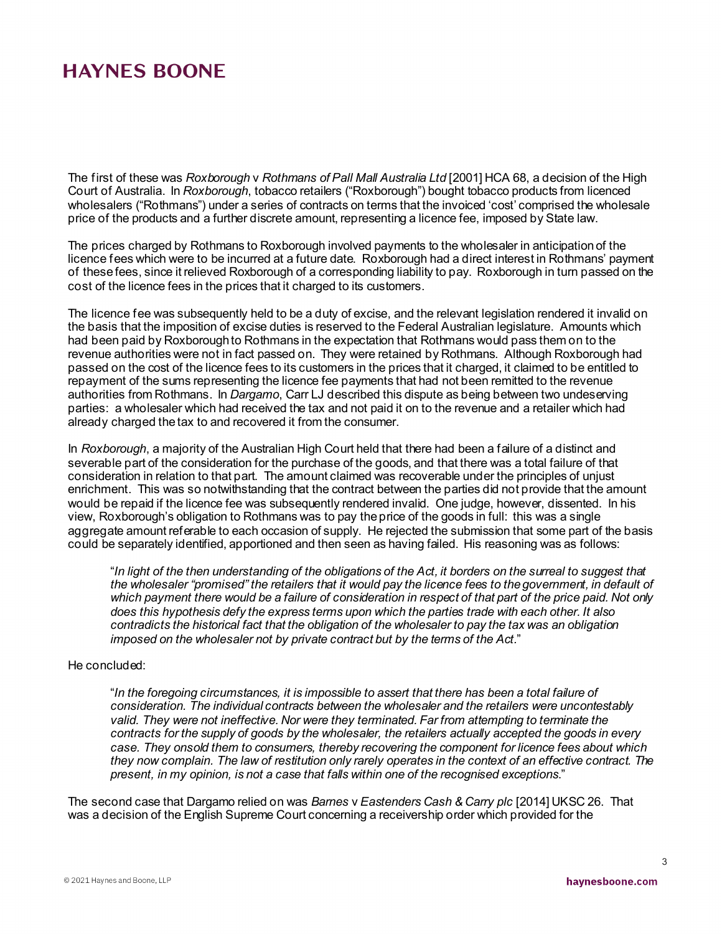The first of these was *Roxborough* v *Rothmans of Pall Mall Australia Ltd* [2001] HCA 68, a decision of the High Court of Australia. In *Roxborough*, tobacco retailers ("Roxborough") bought tobacco products from licenced wholesalers ("Rothmans") under a series of contracts on terms that the invoiced 'cost' comprised the wholesale price of the products and a further discrete amount, representing a licence fee, imposed by State law.

The prices charged by Rothmans to Roxborough involved payments to the wholesaler in anticipation of the licence fees which were to be incurred at a future date. Roxborough had a direct interest in Rothmans' payment of these fees, since it relieved Roxborough of a corresponding liability to pay. Roxborough in turn passed on the cost of the licence fees in the prices that it charged to its customers.

The licence fee was subsequently held to be a duty of excise, and the relevant legislation rendered it invalid on the basis that the imposition of excise duties is reserved to the Federal Australian legislature. Amounts which had been paid by Roxborough to Rothmans in the expectation that Rothmans would pass them on to the revenue authorities were not in fact passed on. They were retained by Rothmans. Although Roxborough had passed on the cost of the licence fees to its customers in the prices that it charged, it claimed to be entitled to repayment of the sums representing the licence fee payments that had not been remitted to the revenue authorities from Rothmans. In *Dargamo*, Carr LJ described this dispute as being between two undeserving parties: a wholesaler which had received the tax and not paid it on to the revenue and a retailer which had already charged the tax to and recovered it from the consumer.

In *Roxborough*, a majority of the Australian High Court held that there had been a failure of a distinct and severable part of the consideration for the purchase of the goods, and that there was a total failure of that consideration in relation to that part. The amount claimed was recoverable under the principles of unjust enrichment. This was so notwithstanding that the contract between the parties did not provide that the amount would be repaid if the licence fee was subsequently rendered invalid. One judge, however, dissented. In his view, Roxborough's obligation to Rothmans was to pay the price of the goods in full: this was a single aggregate amount referable to each occasion of supply. He rejected the submission that some part of the basis could be separately identified, apportioned and then seen as having failed. His reasoning was as follows:

"*In light of the then understanding of the obligations of the Act, it borders on the surreal to suggest that the wholesaler "promised" the retailers that it would pay the licence fees to the government, in default of*  which payment there would be a failure of consideration in respect of that part of the price paid. Not only *does this hypothesis defy the express terms upon which the parties trade with each other. It also contradicts the historical fact that the obligation of the wholesaler to pay the tax was an obligation imposed on the wholesaler not by private contract but by the terms of the Act.*"

#### He concluded:

"*In the foregoing circumstances, it is impossible to assert that there has been a total failure of consideration. The individual contracts between the wholesaler and the retailers were uncontestably valid. They were not ineffective. Nor were they terminated. Far from attempting to terminate the contracts for the supply of goods by the wholesaler, the retailers actually accepted the goods in every case. They onsold them to consumers, thereby recovering the component for licence fees about which they now complain. The law of restitution only rarely operates in the context of an effective contract. The present, in my opinion, is not a case that falls within one of the recognised exceptions*."

The second case that Dargamo relied on was *Barnes* v *Eastenders Cash & Carry plc* [2014] UKSC 26. That was a decision of the English Supreme Court concerning a receivership order which provided for the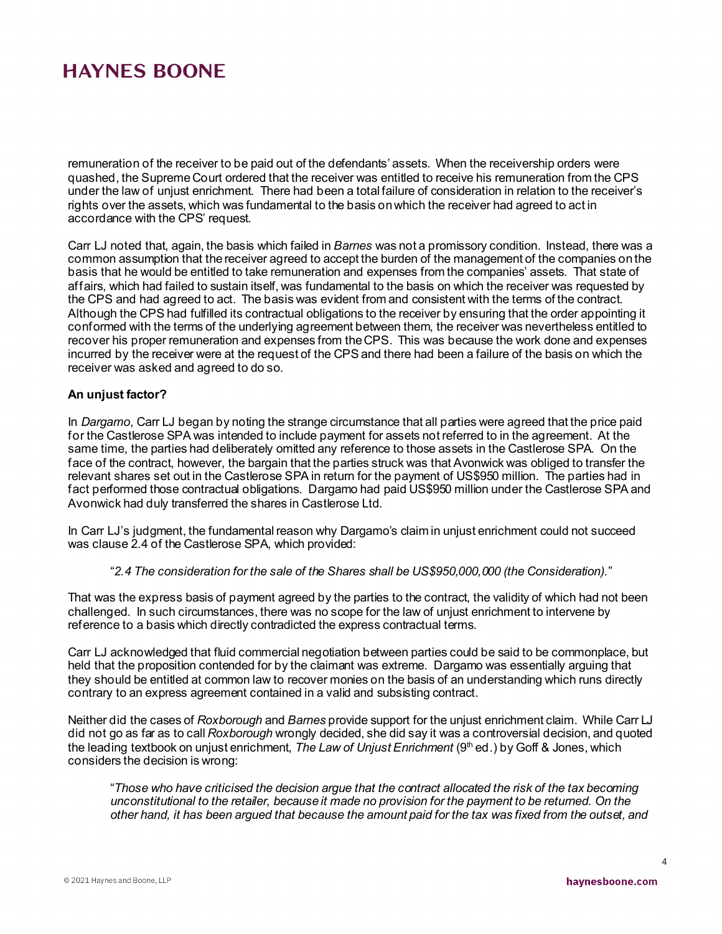remuneration of the receiver to be paid out of the defendants' assets. When the receivership orders were quashed, the Supreme Court ordered that the receiver was entitled to receive his remuneration from the CPS under the law of unjust enrichment. There had been a total failure of consideration in relation to the receiver's rights over the assets, which was fundamental to the basis on which the receiver had agreed to act in accordance with the CPS' request.

Carr LJ noted that, again, the basis which failed in *Barnes* was not a promissory condition. Instead, there was a common assumption that the receiver agreed to accept the burden of the management of the companies on the basis that he would be entitled to take remuneration and expenses from the companies' assets. That state of affairs, which had failed to sustain itself, was fundamental to the basis on which the receiver was requested by the CPS and had agreed to act. The basis was evident from and consistent with the terms of the contract. Although the CPS had fulfilled its contractual obligations to the receiver by ensuring that the order appointing it conformed with the terms of the underlying agreement between them, the receiver was nevertheless entitled to recover his proper remuneration and expenses from the CPS. This was because the work done and expenses incurred by the receiver were at the request of the CPS and there had been a failure of the basis on which the receiver was asked and agreed to do so.

#### **An unjust factor?**

In *Dargamo*, Carr LJ began by noting the strange circumstance that all parties were agreed that the price paid for the Castlerose SPA was intended to include payment for assets not referred to in the agreement. At the same time, the parties had deliberately omitted any reference to those assets in the Castlerose SPA. On the face of the contract, however, the bargain that the parties struck was that Avonwick was obliged to transfer the relevant shares set out in the Castlerose SPA in return for the payment of US\$950 million. The parties had in fact performed those contractual obligations. Dargamo had paid US\$950 million under the Castlerose SPA and Avonwick had duly transferred the shares in Castlerose Ltd.

In Carr LJ's judgment, the fundamental reason why Dargamo's claim in unjust enrichment could not succeed was clause 2.4 of the Castlerose SPA, which provided:

"*2.4 The consideration for the sale of the Shares shall be US\$950,000,000 (the Consideration).*"

That was the express basis of payment agreed by the parties to the contract, the validity of which had not been challenged. In such circumstances, there was no scope for the law of unjust enrichment to intervene by reference to a basis which directly contradicted the express contractual terms.

Carr LJ acknowledged that fluid commercial negotiation between parties could be said to be commonplace, but held that the proposition contended for by the claimant was extreme. Dargamo was essentially arguing that they should be entitled at common law to recover monies on the basis of an understanding which runs directly contrary to an express agreement contained in a valid and subsisting contract.

Neither did the cases of *Roxborough* and *Barnes* provide support for the unjust enrichment claim. While Carr LJ did not go as far as to call *Roxborough* wrongly decided, she did say it was a controversial decision, and quoted the leading textbook on unjust enrichment, *The Law of Unjust Enrichment* (9th ed.) by Goff & Jones, which considers the decision is wrong:

"*Those who have criticised the decision argue that the contract allocated the risk of the tax becoming unconstitutional to the retailer, because it made no provision for the payment to be returned. On the other hand, it has been argued that because the amount paid for the tax was fixed from the outset, and*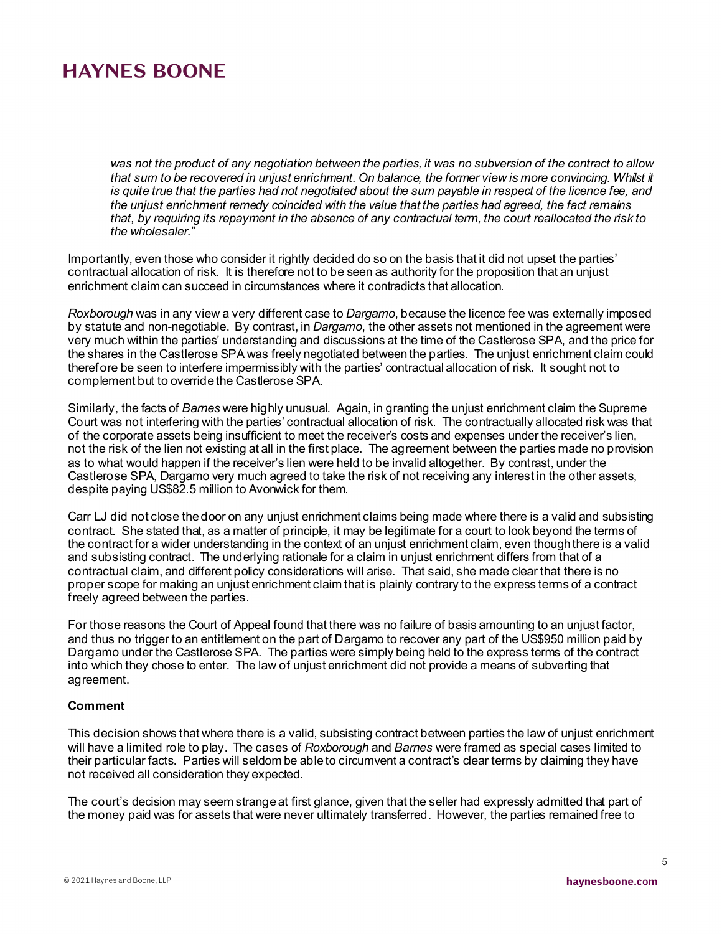*was not the product of any negotiation between the parties, it was no subversion of the contract to allow that sum to be recovered in unjust enrichment. On balance, the former view is more convincing. Whilst it is quite true that the parties had not negotiated about the sum payable in respect of the licence fee, and the unjust enrichment remedy coincided with the value that the parties had agreed, the fact remains that, by requiring its repayment in the absence of any contractual term, the court reallocated the risk to the wholesaler.*"

Importantly, even those who consider it rightly decided do so on the basis that it did not upset the parties' contractual allocation of risk. It is therefore not to be seen as authority for the proposition that an unjust enrichment claim can succeed in circumstances where it contradicts that allocation.

*Roxborough* was in any view a very different case to *Dargamo*, because the licence fee was externally imposed by statute and non-negotiable. By contrast, in *Dargamo*, the other assets not mentioned in the agreement were very much within the parties' understanding and discussions at the time of the Castlerose SPA, and the price for the shares in the Castlerose SPA was freely negotiated between the parties. The unjust enrichment claim could therefore be seen to interfere impermissibly with the parties' contractual allocation of risk. It sought not to complement but to override the Castlerose SPA.

Similarly, the facts of *Barnes* were highly unusual. Again, in granting the unjust enrichment claim the Supreme Court was not interfering with the parties' contractual allocation of risk. The contractually allocated risk was that of the corporate assets being insufficient to meet the receiver's costs and expenses under the receiver's lien, not the risk of the lien not existing at all in the first place. The agreement between the parties made no provision as to what would happen if the receiver's lien were held to be invalid altogether. By contrast, under the Castlerose SPA, Dargamo very much agreed to take the risk of not receiving any interest in the other assets, despite paying US\$82.5 million to Avonwick for them.

Carr LJ did not close the door on any unjust enrichment claims being made where there is a valid and subsisting contract. She stated that, as a matter of principle, it may be legitimate for a court to look beyond the terms of the contract for a wider understanding in the context of an unjust enrichment claim, even though there is a valid and subsisting contract. The underlying rationale for a claim in unjust enrichment differs from that of a contractual claim, and different policy considerations will arise. That said, she made clear that there is no proper scope for making an unjust enrichment claim that is plainly contrary to the express terms of a contract freely agreed between the parties.

For those reasons the Court of Appeal found that there was no failure of basis amounting to an unjust factor, and thus no trigger to an entitlement on the part of Dargamo to recover any part of the US\$950 million paid by Dargamo under the Castlerose SPA. The parties were simply being held to the express terms of the contract into which they chose to enter. The law of unjust enrichment did not provide a means of subverting that agreement.

#### **Comment**

This decision shows that where there is a valid, subsisting contract between parties the law of unjust enrichment will have a limited role to play. The cases of *Roxborough* and *Barnes* were framed as special cases limited to their particular facts. Parties will seldom be able to circumvent a contract's clear terms by claiming they have not received all consideration they expected.

The court's decision may seem strange at first glance, given that the seller had expressly admitted that part of the money paid was for assets that were never ultimately transferred. However, the parties remained free to